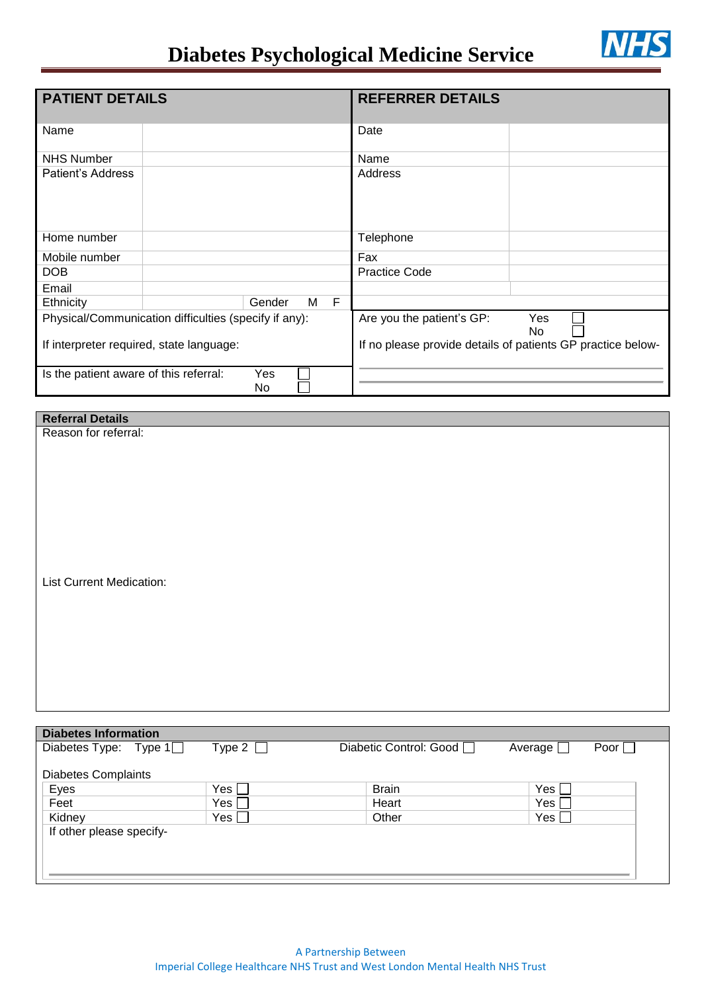## **Diabetes Psychological Medicine Service**



| <b>PATIENT DETAILS</b>                                |  |        |        | <b>REFERRER DETAILS</b>   |                                                             |
|-------------------------------------------------------|--|--------|--------|---------------------------|-------------------------------------------------------------|
| Name                                                  |  |        |        | Date                      |                                                             |
| <b>NHS Number</b>                                     |  |        |        | Name                      |                                                             |
| Patient's Address                                     |  |        |        | Address                   |                                                             |
| Home number                                           |  |        |        | Telephone                 |                                                             |
| Mobile number                                         |  |        |        | Fax                       |                                                             |
| <b>DOB</b>                                            |  |        |        | <b>Practice Code</b>      |                                                             |
| Email                                                 |  |        |        |                           |                                                             |
| Ethnicity                                             |  | Gender | F<br>M |                           |                                                             |
| Physical/Communication difficulties (specify if any): |  |        |        | Are you the patient's GP: | Yes<br>No.                                                  |
| If interpreter required, state language:              |  |        |        |                           | If no please provide details of patients GP practice below- |
| Yes<br>Is the patient aware of this referral:<br>No   |  |        |        |                           |                                                             |

## **Referral Details**

Reason for referral:

List Current Medication:

| <b>Diabetes Information</b> |               |                          |                          |  |  |  |  |
|-----------------------------|---------------|--------------------------|--------------------------|--|--|--|--|
| Diabetes Type: Type $1$     | Type 2 $\Box$ | Diabetic Control: Good □ | Poor  <br>Average $\Box$ |  |  |  |  |
|                             |               |                          |                          |  |  |  |  |
| <b>Diabetes Complaints</b>  |               |                          |                          |  |  |  |  |
| Eyes                        | Yes           | <b>Brain</b>             | Yes                      |  |  |  |  |
| Feet                        | Yes           | Heart                    | Yes                      |  |  |  |  |
| Kidney                      | Yes [         | Other                    | Yes $\Box$               |  |  |  |  |
| If other please specify-    |               |                          |                          |  |  |  |  |
|                             |               |                          |                          |  |  |  |  |
|                             |               |                          |                          |  |  |  |  |
|                             |               |                          |                          |  |  |  |  |